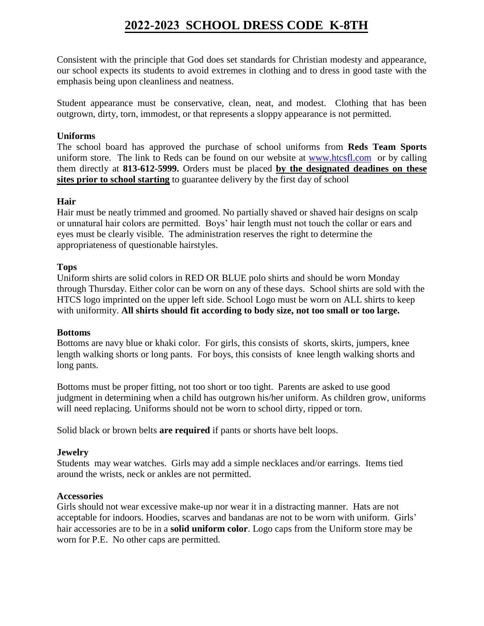# **2022-2023 SCHOOL DRESS CODE K-8TH**

Consistent with the principle that God does set standards for Christian modesty and appearance, our school expects its students to avoid extremes in clothing and to dress in good taste with the emphasis being upon cleanliness and neatness.

Student appearance must be conservative, clean, neat, and modest. Clothing that has been outgrown, dirty, torn, immodest, or that represents a sloppy appearance is not permitted.

## **Uniforms**

The school board has approved the purchase of school uniforms from **Reds Team Sports** uniform store. The link to Reds can be found on our website at www.htcsfl.com or by calling them directly at **813-612-5999.** Orders must be placed **by the designated deadines on these sites prior to school starting** to guarantee delivery by the first day of school

## **Hair**

Hair must be neatly trimmed and groomed. No partially shaved or shaved hair designs on scalp or unnatural hair colors are permitted. Boys' hair length must not touch the collar or ears and eyes must be clearly visible. The administration reserves the right to determine the appropriateness of questionable hairstyles.

## **Tops**

Uniform shirts are solid colors in RED OR BLUE polo shirts and should be worn Monday through Thursday. Either color can be worn on any of these days. School shirts are sold with the HTCS logo imprinted on the upper left side. School Logo must be worn on ALL shirts to keep with uniformity. **All shirts should fit according to body size, not too small or too large.** 

### **Bottoms**

Bottoms are navy blue or khaki color. For girls, this consists of skorts, skirts, jumpers, knee length walking shorts or long pants. For boys, this consists of knee length walking shorts and long pants.

Bottoms must be proper fitting, not too short or too tight. Parents are asked to use good judgment in determining when a child has outgrown his/her uniform. As children grow, uniforms will need replacing. Uniforms should not be worn to school dirty, ripped or torn.

Solid black or brown belts **are required** if pants or shorts have belt loops.

### **Jewelry**

Students may wear watches. Girls may add a simple necklaces and/or earrings. Items tied around the wrists, neck or ankles are not permitted.

### **Accessories**

Girls should not wear excessive make-up nor wear it in a distracting manner. Hats are not acceptable for indoors. Hoodies, scarves and bandanas are not to be worn with uniform. Girls' hair accessories are to be in a **solid uniform color**. Logo caps from the Uniform store may be worn for P.E. No other caps are permitted.